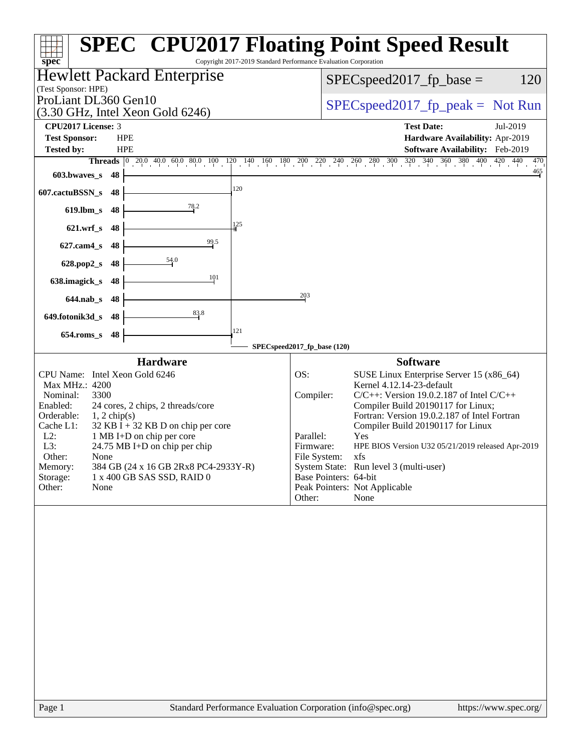| spec <sup>®</sup>                                                                                                                                                                                                                                                                                                                                                                                                                             | <b>SPEC<sup>®</sup> CPU2017 Floating Point Speed Result</b><br>Copyright 2017-2019 Standard Performance Evaluation Corporation                                                                                                                                                                                                                                                                                                                                                                                              |
|-----------------------------------------------------------------------------------------------------------------------------------------------------------------------------------------------------------------------------------------------------------------------------------------------------------------------------------------------------------------------------------------------------------------------------------------------|-----------------------------------------------------------------------------------------------------------------------------------------------------------------------------------------------------------------------------------------------------------------------------------------------------------------------------------------------------------------------------------------------------------------------------------------------------------------------------------------------------------------------------|
| <b>Hewlett Packard Enterprise</b><br>(Test Sponsor: HPE)                                                                                                                                                                                                                                                                                                                                                                                      | 120<br>$SPEC speed2017_fp\_base =$                                                                                                                                                                                                                                                                                                                                                                                                                                                                                          |
| ProLiant DL360 Gen10<br>$(3.30 \text{ GHz}, \text{Intel Xeon Gold } 6246)$                                                                                                                                                                                                                                                                                                                                                                    | $SPEC speed2017rfp peak = Not Run$                                                                                                                                                                                                                                                                                                                                                                                                                                                                                          |
| CPU2017 License: 3<br><b>Test Sponsor:</b><br><b>HPE</b><br><b>Tested by:</b><br><b>HPE</b>                                                                                                                                                                                                                                                                                                                                                   | <b>Test Date:</b><br>Jul-2019<br>Hardware Availability: Apr-2019<br><b>Software Availability:</b> Feb-2019                                                                                                                                                                                                                                                                                                                                                                                                                  |
|                                                                                                                                                                                                                                                                                                                                                                                                                                               | <b>Threads</b> 0 20.0 40.0 60.0 80.0 100 120 140 160 180 200 220 240 260 280 300 320 340 360 380 400 420 440<br>$\frac{470}{1}$<br>$\frac{465}{5}$                                                                                                                                                                                                                                                                                                                                                                          |
| 603.bwaves_s<br>48<br>120<br>607.cactuBSSN_s<br>48                                                                                                                                                                                                                                                                                                                                                                                            |                                                                                                                                                                                                                                                                                                                                                                                                                                                                                                                             |
| 78.2<br>$619$ .lbm_s<br>48                                                                                                                                                                                                                                                                                                                                                                                                                    |                                                                                                                                                                                                                                                                                                                                                                                                                                                                                                                             |
| 125<br>$621.wrf$ <sub>S</sub><br>-48                                                                                                                                                                                                                                                                                                                                                                                                          |                                                                                                                                                                                                                                                                                                                                                                                                                                                                                                                             |
| 99.5<br>$627$ .cam $4$ <sub>S</sub><br>48                                                                                                                                                                                                                                                                                                                                                                                                     |                                                                                                                                                                                                                                                                                                                                                                                                                                                                                                                             |
| $\frac{54.0}{5}$<br>48<br>628.pop2_s                                                                                                                                                                                                                                                                                                                                                                                                          |                                                                                                                                                                                                                                                                                                                                                                                                                                                                                                                             |
| 101<br>638.imagick_s<br>48                                                                                                                                                                                                                                                                                                                                                                                                                    |                                                                                                                                                                                                                                                                                                                                                                                                                                                                                                                             |
| 644.nab_s 48                                                                                                                                                                                                                                                                                                                                                                                                                                  | 203                                                                                                                                                                                                                                                                                                                                                                                                                                                                                                                         |
| $\frac{83.8}{5}$<br>649.fotonik3d_s 48<br>121                                                                                                                                                                                                                                                                                                                                                                                                 |                                                                                                                                                                                                                                                                                                                                                                                                                                                                                                                             |
| $654$ .roms_s<br>48                                                                                                                                                                                                                                                                                                                                                                                                                           | SPECspeed2017_fp_base (120)                                                                                                                                                                                                                                                                                                                                                                                                                                                                                                 |
| <b>Hardware</b><br>CPU Name: Intel Xeon Gold 6246<br>Max MHz.: 4200<br>3300<br>Nominal:<br>Enabled:<br>24 cores, 2 chips, 2 threads/core<br>Orderable:<br>$1, 2$ chip(s)<br>$32$ KB I + 32 KB D on chip per core<br>Cache L1:<br>$L2$ :<br>1 MB I+D on chip per core<br>L3:<br>24.75 MB I+D on chip per chip<br>Other:<br>None<br>Memory:<br>384 GB (24 x 16 GB 2Rx8 PC4-2933Y-R)<br>Storage:<br>1 x 400 GB SAS SSD, RAID 0<br>None<br>Other: | <b>Software</b><br>OS:<br>SUSE Linux Enterprise Server 15 (x86_64)<br>Kernel 4.12.14-23-default<br>Compiler:<br>$C/C++$ : Version 19.0.2.187 of Intel $C/C++$<br>Compiler Build 20190117 for Linux;<br>Fortran: Version 19.0.2.187 of Intel Fortran<br>Compiler Build 20190117 for Linux<br>Parallel:<br>Yes<br>HPE BIOS Version U32 05/21/2019 released Apr-2019<br>Firmware:<br>File System:<br>xfs<br>System State: Run level 3 (multi-user)<br>Base Pointers: 64-bit<br>Peak Pointers: Not Applicable<br>None<br>Other: |
|                                                                                                                                                                                                                                                                                                                                                                                                                                               |                                                                                                                                                                                                                                                                                                                                                                                                                                                                                                                             |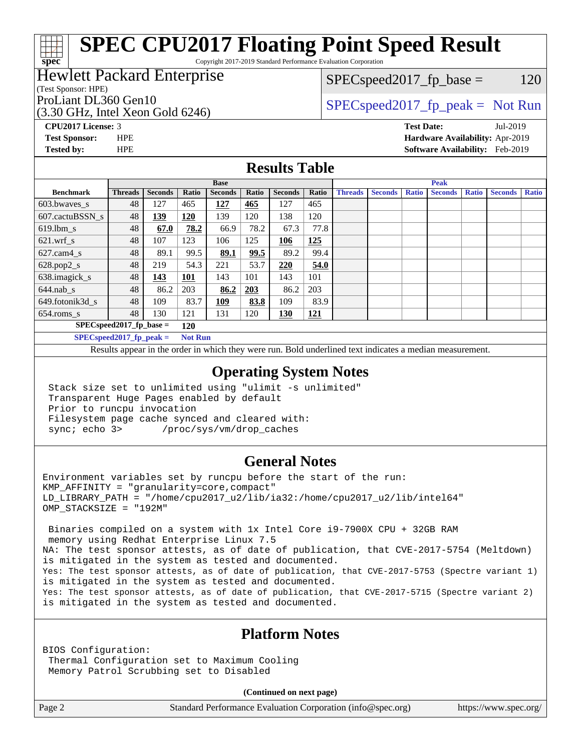# **[SPEC CPU2017 Floating Point Speed Result](http://www.spec.org/auto/cpu2017/Docs/result-fields.html#SPECCPU2017FloatingPointSpeedResult)**

Copyright 2017-2019 Standard Performance Evaluation Corporation

# Hewlett Packard Enterprise

(Test Sponsor: HPE)

**[spec](http://www.spec.org/)**

(3.30 GHz, Intel Xeon Gold 6246)

 $SPEC speed2017_fp\_base = 120$ 

# ProLiant DL360 Gen10  $SPEC speed2017$  fp\_peak = Not Run

**[CPU2017 License:](http://www.spec.org/auto/cpu2017/Docs/result-fields.html#CPU2017License)** 3 **[Test Date:](http://www.spec.org/auto/cpu2017/Docs/result-fields.html#TestDate)** Jul-2019 **[Test Sponsor:](http://www.spec.org/auto/cpu2017/Docs/result-fields.html#TestSponsor)** HPE **[Hardware Availability:](http://www.spec.org/auto/cpu2017/Docs/result-fields.html#HardwareAvailability)** Apr-2019 **[Tested by:](http://www.spec.org/auto/cpu2017/Docs/result-fields.html#Testedby)** HPE **[Software Availability:](http://www.spec.org/auto/cpu2017/Docs/result-fields.html#SoftwareAvailability)** Feb-2019

#### **[Results Table](http://www.spec.org/auto/cpu2017/Docs/result-fields.html#ResultsTable)**

|                                          | <b>Base</b>    |                |                |                |       |                | <b>Peak</b> |                |                |              |                |              |                |              |
|------------------------------------------|----------------|----------------|----------------|----------------|-------|----------------|-------------|----------------|----------------|--------------|----------------|--------------|----------------|--------------|
| <b>Benchmark</b>                         | <b>Threads</b> | <b>Seconds</b> | Ratio          | <b>Seconds</b> | Ratio | <b>Seconds</b> | Ratio       | <b>Threads</b> | <b>Seconds</b> | <b>Ratio</b> | <b>Seconds</b> | <b>Ratio</b> | <b>Seconds</b> | <b>Ratio</b> |
| $603.bwaves$ s                           | 48             | 127            | 465            | 127            | 465   | 127            | 465         |                |                |              |                |              |                |              |
| 607.cactuBSSN s                          | 48             | <u>139</u>     | <b>120</b>     | 139            | 120   | 138            | 120         |                |                |              |                |              |                |              |
| $619.$ lbm_s                             | 48             | 67.0           | 78.2           | 66.9           | 78.2  | 67.3           | 77.8        |                |                |              |                |              |                |              |
| $621$ .wrf s                             | 48             | 107            | 123            | 106            | 125   | 106            | 125         |                |                |              |                |              |                |              |
| $627$ .cam $4 \text{ s}$                 | 48             | 89.1           | 99.5           | 89.1           | 99.5  | 89.2           | 99.4        |                |                |              |                |              |                |              |
| $628.pop2_s$                             | 48             | 219            | 54.3           | 221            | 53.7  | 220            | 54.0        |                |                |              |                |              |                |              |
| 638.imagick_s                            | 48             | 143            | <b>101</b>     | 143            | 101   | 143            | 101         |                |                |              |                |              |                |              |
| $644$ .nab s                             | 48             | 86.2           | 203            | 86.2           | 203   | 86.2           | 203         |                |                |              |                |              |                |              |
| 649.fotonik3d s                          | 48             | 109            | 83.7           | <u> 109</u>    | 83.8  | 109            | 83.9        |                |                |              |                |              |                |              |
| $654$ .roms s                            | 48             | 130            | 121            | 131            | 120   | <b>130</b>     | <u>121</u>  |                |                |              |                |              |                |              |
| $SPEC speed2017$ fp base =<br><b>120</b> |                |                |                |                |       |                |             |                |                |              |                |              |                |              |
| $SPECspeed2017_fp\_peak =$               |                |                | <b>Not Run</b> |                |       |                |             |                |                |              |                |              |                |              |

Results appear in the [order in which they were run.](http://www.spec.org/auto/cpu2017/Docs/result-fields.html#RunOrder) Bold underlined text [indicates a median measurement](http://www.spec.org/auto/cpu2017/Docs/result-fields.html#Median).

#### **[Operating System Notes](http://www.spec.org/auto/cpu2017/Docs/result-fields.html#OperatingSystemNotes)**

 Stack size set to unlimited using "ulimit -s unlimited" Transparent Huge Pages enabled by default Prior to runcpu invocation Filesystem page cache synced and cleared with: sync; echo 3> /proc/sys/vm/drop\_caches

## **[General Notes](http://www.spec.org/auto/cpu2017/Docs/result-fields.html#GeneralNotes)**

Environment variables set by runcpu before the start of the run: KMP\_AFFINITY = "granularity=core,compact" LD\_LIBRARY\_PATH = "/home/cpu2017\_u2/lib/ia32:/home/cpu2017\_u2/lib/intel64" OMP\_STACKSIZE = "192M"

 Binaries compiled on a system with 1x Intel Core i9-7900X CPU + 32GB RAM memory using Redhat Enterprise Linux 7.5 NA: The test sponsor attests, as of date of publication, that CVE-2017-5754 (Meltdown) is mitigated in the system as tested and documented. Yes: The test sponsor attests, as of date of publication, that CVE-2017-5753 (Spectre variant 1) is mitigated in the system as tested and documented. Yes: The test sponsor attests, as of date of publication, that CVE-2017-5715 (Spectre variant 2) is mitigated in the system as tested and documented.

## **[Platform Notes](http://www.spec.org/auto/cpu2017/Docs/result-fields.html#PlatformNotes)**

BIOS Configuration: Thermal Configuration set to Maximum Cooling Memory Patrol Scrubbing set to Disabled

**(Continued on next page)**

Page 2 Standard Performance Evaluation Corporation [\(info@spec.org\)](mailto:info@spec.org) <https://www.spec.org/>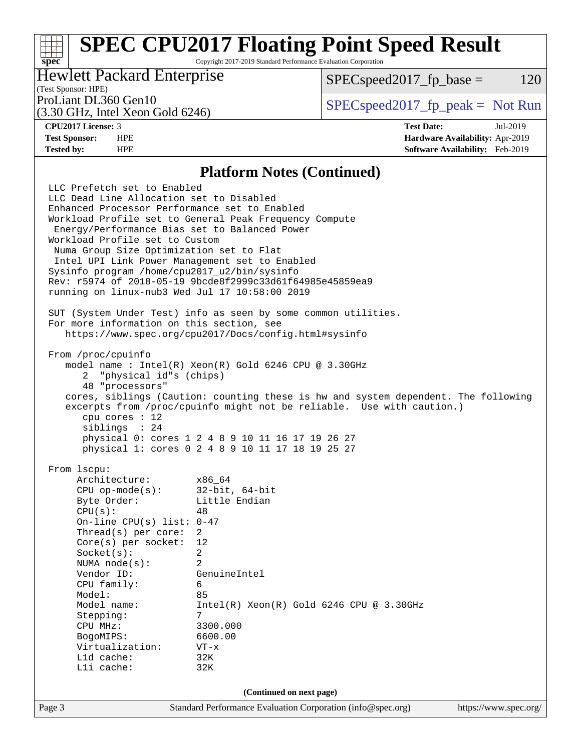# **[SPEC CPU2017 Floating Point Speed Result](http://www.spec.org/auto/cpu2017/Docs/result-fields.html#SPECCPU2017FloatingPointSpeedResult)**

Copyright 2017-2019 Standard Performance Evaluation Corporation

# Hewlett Packard Enterprise

 $SPEC speed2017_fp\_base = 120$ 

# (Test Sponsor: HPE)

(3.30 GHz, Intel Xeon Gold 6246)

ProLiant DL360 Gen10  $SPEC speed2017$  [p\_peak = Not Run

**[spec](http://www.spec.org/)**

**[CPU2017 License:](http://www.spec.org/auto/cpu2017/Docs/result-fields.html#CPU2017License)** 3 **[Test Date:](http://www.spec.org/auto/cpu2017/Docs/result-fields.html#TestDate)** Jul-2019 **[Test Sponsor:](http://www.spec.org/auto/cpu2017/Docs/result-fields.html#TestSponsor)** HPE **[Hardware Availability:](http://www.spec.org/auto/cpu2017/Docs/result-fields.html#HardwareAvailability)** Apr-2019 **[Tested by:](http://www.spec.org/auto/cpu2017/Docs/result-fields.html#Testedby)** HPE **[Software Availability:](http://www.spec.org/auto/cpu2017/Docs/result-fields.html#SoftwareAvailability)** Feb-2019

#### **[Platform Notes \(Continued\)](http://www.spec.org/auto/cpu2017/Docs/result-fields.html#PlatformNotes)**

Page 3 Standard Performance Evaluation Corporation [\(info@spec.org\)](mailto:info@spec.org) <https://www.spec.org/> LLC Prefetch set to Enabled LLC Dead Line Allocation set to Disabled Enhanced Processor Performance set to Enabled Workload Profile set to General Peak Frequency Compute Energy/Performance Bias set to Balanced Power Workload Profile set to Custom Numa Group Size Optimization set to Flat Intel UPI Link Power Management set to Enabled Sysinfo program /home/cpu2017\_u2/bin/sysinfo Rev: r5974 of 2018-05-19 9bcde8f2999c33d61f64985e45859ea9 running on linux-nub3 Wed Jul 17 10:58:00 2019 SUT (System Under Test) info as seen by some common utilities. For more information on this section, see <https://www.spec.org/cpu2017/Docs/config.html#sysinfo> From /proc/cpuinfo model name : Intel(R) Xeon(R) Gold 6246 CPU @ 3.30GHz 2 "physical id"s (chips) 48 "processors" cores, siblings (Caution: counting these is hw and system dependent. The following excerpts from /proc/cpuinfo might not be reliable. Use with caution.) cpu cores : 12 siblings : 24 physical 0: cores 1 2 4 8 9 10 11 16 17 19 26 27 physical 1: cores 0 2 4 8 9 10 11 17 18 19 25 27 From lscpu: Architecture: x86\_64 CPU op-mode(s): 32-bit, 64-bit Byte Order: Little Endian  $CPU(s):$  48 On-line CPU(s) list: 0-47 Thread(s) per core: 2 Core(s) per socket: 12 Socket(s): 2 NUMA node(s): 2 Vendor ID: GenuineIntel CPU family: 6 Model: 85 Model name: Intel(R) Xeon(R) Gold 6246 CPU @ 3.30GHz Stepping: CPU MHz: 3300.000 BogoMIPS: 6600.00 Virtualization: VT-x L1d cache: 32K L1i cache: 32K **(Continued on next page)**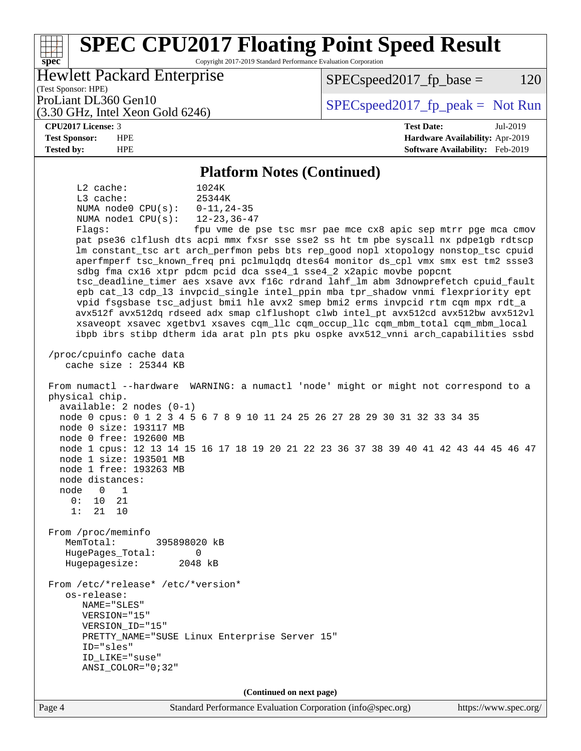#### Page 4 Standard Performance Evaluation Corporation [\(info@spec.org\)](mailto:info@spec.org) <https://www.spec.org/> **[spec](http://www.spec.org/) [SPEC CPU2017 Floating Point Speed Result](http://www.spec.org/auto/cpu2017/Docs/result-fields.html#SPECCPU2017FloatingPointSpeedResult)** Copyright 2017-2019 Standard Performance Evaluation Corporation (Test Sponsor: HPE) Hewlett Packard Enterprise (3.30 GHz, Intel Xeon Gold 6246) ProLiant DL360 Gen10  $SPEC speed2017$  [p\_peak = Not Run  $SPEC speed2017_fp\_base = 120$ **[CPU2017 License:](http://www.spec.org/auto/cpu2017/Docs/result-fields.html#CPU2017License)** 3 **[Test Date:](http://www.spec.org/auto/cpu2017/Docs/result-fields.html#TestDate)** Jul-2019 **[Test Sponsor:](http://www.spec.org/auto/cpu2017/Docs/result-fields.html#TestSponsor)** HPE **[Hardware Availability:](http://www.spec.org/auto/cpu2017/Docs/result-fields.html#HardwareAvailability)** Apr-2019 **[Tested by:](http://www.spec.org/auto/cpu2017/Docs/result-fields.html#Testedby)** HPE **[Software Availability:](http://www.spec.org/auto/cpu2017/Docs/result-fields.html#SoftwareAvailability)** Feb-2019 **[Platform Notes \(Continued\)](http://www.spec.org/auto/cpu2017/Docs/result-fields.html#PlatformNotes)** L2 cache: 1024K L3 cache: 25344K<br>NUMA node0 CPU(s): 0-11,24-35 NUMA node0 CPU(s): NUMA node1 CPU(s): 12-23,36-47 Flags: fpu vme de pse tsc msr pae mce cx8 apic sep mtrr pge mca cmov pat pse36 clflush dts acpi mmx fxsr sse sse2 ss ht tm pbe syscall nx pdpe1gb rdtscp lm constant\_tsc art arch\_perfmon pebs bts rep\_good nopl xtopology nonstop\_tsc cpuid aperfmperf tsc\_known\_freq pni pclmulqdq dtes64 monitor ds\_cpl vmx smx est tm2 ssse3 sdbg fma cx16 xtpr pdcm pcid dca sse4\_1 sse4\_2 x2apic movbe popcnt tsc\_deadline\_timer aes xsave avx f16c rdrand lahf\_lm abm 3dnowprefetch cpuid\_fault epb cat\_l3 cdp\_l3 invpcid\_single intel\_ppin mba tpr\_shadow vnmi flexpriority ept vpid fsgsbase tsc\_adjust bmi1 hle avx2 smep bmi2 erms invpcid rtm cqm mpx rdt\_a avx512f avx512dq rdseed adx smap clflushopt clwb intel\_pt avx512cd avx512bw avx512vl xsaveopt xsavec xgetbv1 xsaves cqm\_llc cqm\_occup\_llc cqm\_mbm\_total cqm\_mbm\_local ibpb ibrs stibp dtherm ida arat pln pts pku ospke avx512\_vnni arch\_capabilities ssbd /proc/cpuinfo cache data cache size : 25344 KB From numactl --hardware WARNING: a numactl 'node' might or might not correspond to a physical chip. available: 2 nodes (0-1) node 0 cpus: 0 1 2 3 4 5 6 7 8 9 10 11 24 25 26 27 28 29 30 31 32 33 34 35 node 0 size: 193117 MB node 0 free: 192600 MB node 1 cpus: 12 13 14 15 16 17 18 19 20 21 22 23 36 37 38 39 40 41 42 43 44 45 46 47 node 1 size: 193501 MB node 1 free: 193263 MB node distances: node 0 1 0: 10 21 1: 21 10 From /proc/meminfo MemTotal: 395898020 kB HugePages\_Total: 0 Hugepagesize: 2048 kB From /etc/\*release\* /etc/\*version\* os-release: NAME="SLES" VERSION="15" VERSION\_ID="15" PRETTY\_NAME="SUSE Linux Enterprise Server 15" ID="sles" ID\_LIKE="suse" ANSI\_COLOR="0;32" **(Continued on next page)**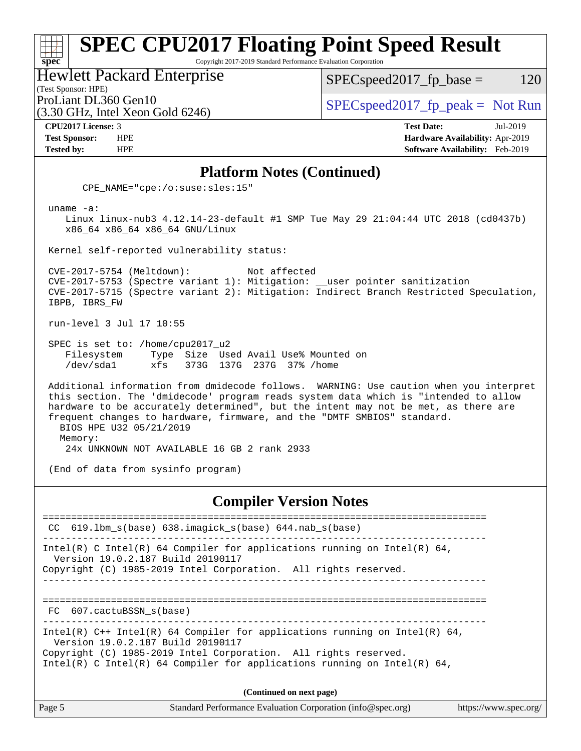#### **[spec](http://www.spec.org/) [SPEC CPU2017 Floating Point Speed Result](http://www.spec.org/auto/cpu2017/Docs/result-fields.html#SPECCPU2017FloatingPointSpeedResult)** Copyright 2017-2019 Standard Performance Evaluation Corporation Hewlett Packard Enterprise  $SPEC speed2017_fp\_base = 120$

(Test Sponsor: HPE)

ProLiant DL360 Gen10  $SPEC speed2017_f$   $p\_peak = Not Run$ 

# (3.30 GHz, Intel Xeon Gold 6246)

**[CPU2017 License:](http://www.spec.org/auto/cpu2017/Docs/result-fields.html#CPU2017License)** 3 **[Test Date:](http://www.spec.org/auto/cpu2017/Docs/result-fields.html#TestDate)** Jul-2019 **[Test Sponsor:](http://www.spec.org/auto/cpu2017/Docs/result-fields.html#TestSponsor)** HPE **[Hardware Availability:](http://www.spec.org/auto/cpu2017/Docs/result-fields.html#HardwareAvailability)** Apr-2019 **[Tested by:](http://www.spec.org/auto/cpu2017/Docs/result-fields.html#Testedby)** HPE **[Software Availability:](http://www.spec.org/auto/cpu2017/Docs/result-fields.html#SoftwareAvailability)** Feb-2019

### **[Platform Notes \(Continued\)](http://www.spec.org/auto/cpu2017/Docs/result-fields.html#PlatformNotes)**

CPE\_NAME="cpe:/o:suse:sles:15"

uname -a:

 Linux linux-nub3 4.12.14-23-default #1 SMP Tue May 29 21:04:44 UTC 2018 (cd0437b) x86\_64 x86\_64 x86\_64 GNU/Linux

Kernel self-reported vulnerability status:

 CVE-2017-5754 (Meltdown): Not affected CVE-2017-5753 (Spectre variant 1): Mitigation: \_\_user pointer sanitization CVE-2017-5715 (Spectre variant 2): Mitigation: Indirect Branch Restricted Speculation, IBPB, IBRS\_FW

run-level 3 Jul 17 10:55

 SPEC is set to: /home/cpu2017\_u2 Filesystem Type Size Used Avail Use% Mounted on /dev/sda1 xfs 373G 137G 237G 37% /home

 Additional information from dmidecode follows. WARNING: Use caution when you interpret this section. The 'dmidecode' program reads system data which is "intended to allow hardware to be accurately determined", but the intent may not be met, as there are frequent changes to hardware, firmware, and the "DMTF SMBIOS" standard. BIOS HPE U32 05/21/2019 Memory:

24x UNKNOWN NOT AVAILABLE 16 GB 2 rank 2933

(End of data from sysinfo program)

#### **[Compiler Version Notes](http://www.spec.org/auto/cpu2017/Docs/result-fields.html#CompilerVersionNotes)**

============================================================================== CC 619.lbm\_s(base) 638.imagick\_s(base) 644.nab\_s(base) ------------------------------------------------------------------------------ Intel(R) C Intel(R) 64 Compiler for applications running on Intel(R) 64, Version 19.0.2.187 Build 20190117 Copyright (C) 1985-2019 Intel Corporation. All rights reserved. ------------------------------------------------------------------------------ ============================================================================== FC 607.cactuBSSN\_s(base) ------------------------------------------------------------------------------ Intel(R)  $C++$  Intel(R) 64 Compiler for applications running on Intel(R) 64, Version 19.0.2.187 Build 20190117 Copyright (C) 1985-2019 Intel Corporation. All rights reserved. Intel(R) C Intel(R) 64 Compiler for applications running on Intel(R)  $64$ , **(Continued on next page)**

Page 5 Standard Performance Evaluation Corporation [\(info@spec.org\)](mailto:info@spec.org) <https://www.spec.org/>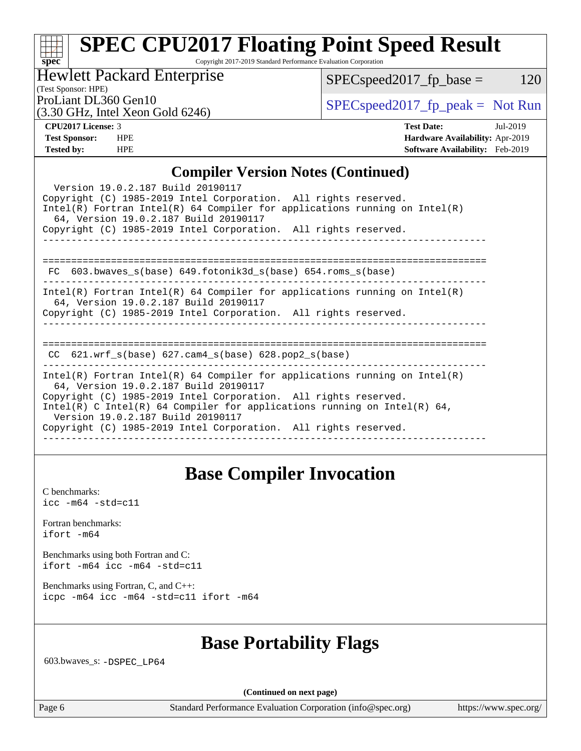#### **[spec](http://www.spec.org/) [SPEC CPU2017 Floating Point Speed Result](http://www.spec.org/auto/cpu2017/Docs/result-fields.html#SPECCPU2017FloatingPointSpeedResult)** Copyright 2017-2019 Standard Performance Evaluation Corporation

Hewlett Packard Enterprise

 $SPEC speed2017_fp\_base = 120$ 

# (Test Sponsor: HPE)

(3.30 GHz, Intel Xeon Gold 6246)

ProLiant DL360 Gen10<br>  $SPEC speed2017<sub>rfp</sub> peak = Not Run$ 

**[CPU2017 License:](http://www.spec.org/auto/cpu2017/Docs/result-fields.html#CPU2017License)** 3 **[Test Date:](http://www.spec.org/auto/cpu2017/Docs/result-fields.html#TestDate)** Jul-2019 **[Test Sponsor:](http://www.spec.org/auto/cpu2017/Docs/result-fields.html#TestSponsor)** HPE **[Hardware Availability:](http://www.spec.org/auto/cpu2017/Docs/result-fields.html#HardwareAvailability)** Apr-2019 **[Tested by:](http://www.spec.org/auto/cpu2017/Docs/result-fields.html#Testedby)** HPE **[Software Availability:](http://www.spec.org/auto/cpu2017/Docs/result-fields.html#SoftwareAvailability)** Feb-2019

## **[Compiler Version Notes \(Continued\)](http://www.spec.org/auto/cpu2017/Docs/result-fields.html#CompilerVersionNotes)**

| Version 19.0.2.187 Build 20190117<br>Copyright (C) 1985-2019 Intel Corporation. All rights reserved.<br>Intel(R) Fortran Intel(R) 64 Compiler for applications running on Intel(R)<br>64, Version 19.0.2.187 Build 20190117                                                                                                                                                |
|----------------------------------------------------------------------------------------------------------------------------------------------------------------------------------------------------------------------------------------------------------------------------------------------------------------------------------------------------------------------------|
| Copyright (C) 1985-2019 Intel Corporation. All rights reserved.                                                                                                                                                                                                                                                                                                            |
| $FC 603.bwaves_s(base) 649.fotonik3d_s(base) 654.roms_s(base)$                                                                                                                                                                                                                                                                                                             |
| Intel(R) Fortran Intel(R) 64 Compiler for applications running on Intel(R)<br>64, Version 19.0.2.187 Build 20190117<br>Copyright (C) 1985-2019 Intel Corporation. All rights reserved.                                                                                                                                                                                     |
| CC $621.$ wrf $s(base)$ $627.$ cam4 $s(base)$ $628.$ pop2 $s(base)$                                                                                                                                                                                                                                                                                                        |
| Intel(R) Fortran Intel(R) 64 Compiler for applications running on Intel(R)<br>64, Version 19.0.2.187 Build 20190117<br>Copyright (C) 1985-2019 Intel Corporation. All rights reserved.<br>Intel(R) C Intel(R) 64 Compiler for applications running on Intel(R) 64,<br>Version 19.0.2.187 Build 20190117<br>Copyright (C) 1985-2019 Intel Corporation. All rights reserved. |

# **[Base Compiler Invocation](http://www.spec.org/auto/cpu2017/Docs/result-fields.html#BaseCompilerInvocation)**

[C benchmarks](http://www.spec.org/auto/cpu2017/Docs/result-fields.html#Cbenchmarks): [icc -m64 -std=c11](http://www.spec.org/cpu2017/results/res2019q3/cpu2017-20190723-16337.flags.html#user_CCbase_intel_icc_64bit_c11_33ee0cdaae7deeeab2a9725423ba97205ce30f63b9926c2519791662299b76a0318f32ddfffdc46587804de3178b4f9328c46fa7c2b0cd779d7a61945c91cd35)

[Fortran benchmarks](http://www.spec.org/auto/cpu2017/Docs/result-fields.html#Fortranbenchmarks): [ifort -m64](http://www.spec.org/cpu2017/results/res2019q3/cpu2017-20190723-16337.flags.html#user_FCbase_intel_ifort_64bit_24f2bb282fbaeffd6157abe4f878425411749daecae9a33200eee2bee2fe76f3b89351d69a8130dd5949958ce389cf37ff59a95e7a40d588e8d3a57e0c3fd751)

[Benchmarks using both Fortran and C](http://www.spec.org/auto/cpu2017/Docs/result-fields.html#BenchmarksusingbothFortranandC): [ifort -m64](http://www.spec.org/cpu2017/results/res2019q3/cpu2017-20190723-16337.flags.html#user_CC_FCbase_intel_ifort_64bit_24f2bb282fbaeffd6157abe4f878425411749daecae9a33200eee2bee2fe76f3b89351d69a8130dd5949958ce389cf37ff59a95e7a40d588e8d3a57e0c3fd751) [icc -m64 -std=c11](http://www.spec.org/cpu2017/results/res2019q3/cpu2017-20190723-16337.flags.html#user_CC_FCbase_intel_icc_64bit_c11_33ee0cdaae7deeeab2a9725423ba97205ce30f63b9926c2519791662299b76a0318f32ddfffdc46587804de3178b4f9328c46fa7c2b0cd779d7a61945c91cd35)

[Benchmarks using Fortran, C, and C++:](http://www.spec.org/auto/cpu2017/Docs/result-fields.html#BenchmarksusingFortranCandCXX) [icpc -m64](http://www.spec.org/cpu2017/results/res2019q3/cpu2017-20190723-16337.flags.html#user_CC_CXX_FCbase_intel_icpc_64bit_4ecb2543ae3f1412ef961e0650ca070fec7b7afdcd6ed48761b84423119d1bf6bdf5cad15b44d48e7256388bc77273b966e5eb805aefd121eb22e9299b2ec9d9) [icc -m64 -std=c11](http://www.spec.org/cpu2017/results/res2019q3/cpu2017-20190723-16337.flags.html#user_CC_CXX_FCbase_intel_icc_64bit_c11_33ee0cdaae7deeeab2a9725423ba97205ce30f63b9926c2519791662299b76a0318f32ddfffdc46587804de3178b4f9328c46fa7c2b0cd779d7a61945c91cd35) [ifort -m64](http://www.spec.org/cpu2017/results/res2019q3/cpu2017-20190723-16337.flags.html#user_CC_CXX_FCbase_intel_ifort_64bit_24f2bb282fbaeffd6157abe4f878425411749daecae9a33200eee2bee2fe76f3b89351d69a8130dd5949958ce389cf37ff59a95e7a40d588e8d3a57e0c3fd751)

# **[Base Portability Flags](http://www.spec.org/auto/cpu2017/Docs/result-fields.html#BasePortabilityFlags)**

603.bwaves\_s: [-DSPEC\\_LP64](http://www.spec.org/cpu2017/results/res2019q3/cpu2017-20190723-16337.flags.html#suite_basePORTABILITY603_bwaves_s_DSPEC_LP64)

**(Continued on next page)**

Page 6 Standard Performance Evaluation Corporation [\(info@spec.org\)](mailto:info@spec.org) <https://www.spec.org/>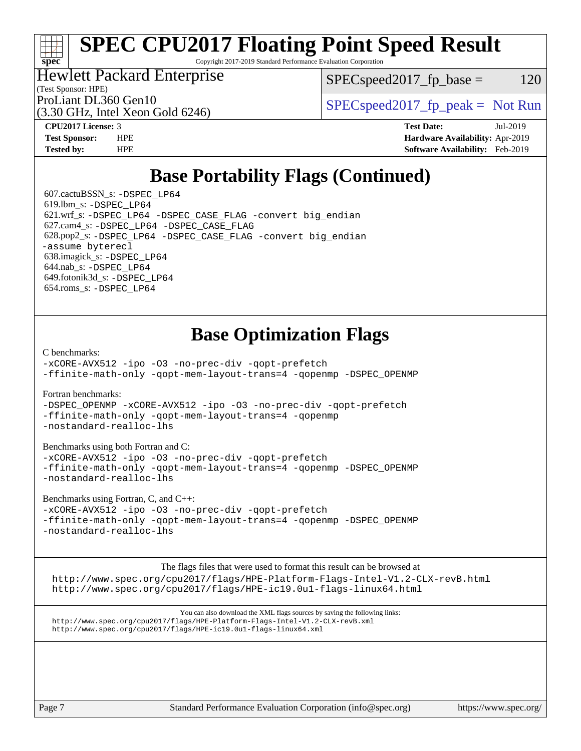# **[SPEC CPU2017 Floating Point Speed Result](http://www.spec.org/auto/cpu2017/Docs/result-fields.html#SPECCPU2017FloatingPointSpeedResult)**

Copyright 2017-2019 Standard Performance Evaluation Corporation

# Hewlett Packard Enterprise

 $SPEC speed2017_f p\_base = 120$ 

(Test Sponsor: HPE)

(3.30 GHz, Intel Xeon Gold 6246)

ProLiant DL360 Gen10  $SPEC speed2017$  [p\_peak = Not Run

**[spec](http://www.spec.org/)**

**[CPU2017 License:](http://www.spec.org/auto/cpu2017/Docs/result-fields.html#CPU2017License)** 3 **[Test Date:](http://www.spec.org/auto/cpu2017/Docs/result-fields.html#TestDate)** Jul-2019 **[Test Sponsor:](http://www.spec.org/auto/cpu2017/Docs/result-fields.html#TestSponsor)** HPE **[Hardware Availability:](http://www.spec.org/auto/cpu2017/Docs/result-fields.html#HardwareAvailability)** Apr-2019 **[Tested by:](http://www.spec.org/auto/cpu2017/Docs/result-fields.html#Testedby)** HPE **[Software Availability:](http://www.spec.org/auto/cpu2017/Docs/result-fields.html#SoftwareAvailability)** Feb-2019

# **[Base Portability Flags \(Continued\)](http://www.spec.org/auto/cpu2017/Docs/result-fields.html#BasePortabilityFlags)**

 607.cactuBSSN\_s: [-DSPEC\\_LP64](http://www.spec.org/cpu2017/results/res2019q3/cpu2017-20190723-16337.flags.html#suite_basePORTABILITY607_cactuBSSN_s_DSPEC_LP64) 619.lbm\_s: [-DSPEC\\_LP64](http://www.spec.org/cpu2017/results/res2019q3/cpu2017-20190723-16337.flags.html#suite_basePORTABILITY619_lbm_s_DSPEC_LP64) 621.wrf\_s: [-DSPEC\\_LP64](http://www.spec.org/cpu2017/results/res2019q3/cpu2017-20190723-16337.flags.html#suite_basePORTABILITY621_wrf_s_DSPEC_LP64) [-DSPEC\\_CASE\\_FLAG](http://www.spec.org/cpu2017/results/res2019q3/cpu2017-20190723-16337.flags.html#b621.wrf_s_baseCPORTABILITY_DSPEC_CASE_FLAG) [-convert big\\_endian](http://www.spec.org/cpu2017/results/res2019q3/cpu2017-20190723-16337.flags.html#user_baseFPORTABILITY621_wrf_s_convert_big_endian_c3194028bc08c63ac5d04de18c48ce6d347e4e562e8892b8bdbdc0214820426deb8554edfa529a3fb25a586e65a3d812c835984020483e7e73212c4d31a38223) 627.cam4\_s: [-DSPEC\\_LP64](http://www.spec.org/cpu2017/results/res2019q3/cpu2017-20190723-16337.flags.html#suite_basePORTABILITY627_cam4_s_DSPEC_LP64) [-DSPEC\\_CASE\\_FLAG](http://www.spec.org/cpu2017/results/res2019q3/cpu2017-20190723-16337.flags.html#b627.cam4_s_baseCPORTABILITY_DSPEC_CASE_FLAG) 628.pop2\_s: [-DSPEC\\_LP64](http://www.spec.org/cpu2017/results/res2019q3/cpu2017-20190723-16337.flags.html#suite_basePORTABILITY628_pop2_s_DSPEC_LP64) [-DSPEC\\_CASE\\_FLAG](http://www.spec.org/cpu2017/results/res2019q3/cpu2017-20190723-16337.flags.html#b628.pop2_s_baseCPORTABILITY_DSPEC_CASE_FLAG) [-convert big\\_endian](http://www.spec.org/cpu2017/results/res2019q3/cpu2017-20190723-16337.flags.html#user_baseFPORTABILITY628_pop2_s_convert_big_endian_c3194028bc08c63ac5d04de18c48ce6d347e4e562e8892b8bdbdc0214820426deb8554edfa529a3fb25a586e65a3d812c835984020483e7e73212c4d31a38223) [-assume byterecl](http://www.spec.org/cpu2017/results/res2019q3/cpu2017-20190723-16337.flags.html#user_baseFPORTABILITY628_pop2_s_assume_byterecl_7e47d18b9513cf18525430bbf0f2177aa9bf368bc7a059c09b2c06a34b53bd3447c950d3f8d6c70e3faf3a05c8557d66a5798b567902e8849adc142926523472) 638.imagick\_s: [-DSPEC\\_LP64](http://www.spec.org/cpu2017/results/res2019q3/cpu2017-20190723-16337.flags.html#suite_basePORTABILITY638_imagick_s_DSPEC_LP64) 644.nab\_s: [-DSPEC\\_LP64](http://www.spec.org/cpu2017/results/res2019q3/cpu2017-20190723-16337.flags.html#suite_basePORTABILITY644_nab_s_DSPEC_LP64) 649.fotonik3d\_s: [-DSPEC\\_LP64](http://www.spec.org/cpu2017/results/res2019q3/cpu2017-20190723-16337.flags.html#suite_basePORTABILITY649_fotonik3d_s_DSPEC_LP64) 654.roms\_s: [-DSPEC\\_LP64](http://www.spec.org/cpu2017/results/res2019q3/cpu2017-20190723-16337.flags.html#suite_basePORTABILITY654_roms_s_DSPEC_LP64)

# **[Base Optimization Flags](http://www.spec.org/auto/cpu2017/Docs/result-fields.html#BaseOptimizationFlags)**

[C benchmarks](http://www.spec.org/auto/cpu2017/Docs/result-fields.html#Cbenchmarks):

[-xCORE-AVX512](http://www.spec.org/cpu2017/results/res2019q3/cpu2017-20190723-16337.flags.html#user_CCbase_f-xCORE-AVX512) [-ipo](http://www.spec.org/cpu2017/results/res2019q3/cpu2017-20190723-16337.flags.html#user_CCbase_f-ipo) [-O3](http://www.spec.org/cpu2017/results/res2019q3/cpu2017-20190723-16337.flags.html#user_CCbase_f-O3) [-no-prec-div](http://www.spec.org/cpu2017/results/res2019q3/cpu2017-20190723-16337.flags.html#user_CCbase_f-no-prec-div) [-qopt-prefetch](http://www.spec.org/cpu2017/results/res2019q3/cpu2017-20190723-16337.flags.html#user_CCbase_f-qopt-prefetch) [-ffinite-math-only](http://www.spec.org/cpu2017/results/res2019q3/cpu2017-20190723-16337.flags.html#user_CCbase_f_finite_math_only_cb91587bd2077682c4b38af759c288ed7c732db004271a9512da14a4f8007909a5f1427ecbf1a0fb78ff2a814402c6114ac565ca162485bbcae155b5e4258871) [-qopt-mem-layout-trans=4](http://www.spec.org/cpu2017/results/res2019q3/cpu2017-20190723-16337.flags.html#user_CCbase_f-qopt-mem-layout-trans_fa39e755916c150a61361b7846f310bcdf6f04e385ef281cadf3647acec3f0ae266d1a1d22d972a7087a248fd4e6ca390a3634700869573d231a252c784941a8) [-qopenmp](http://www.spec.org/cpu2017/results/res2019q3/cpu2017-20190723-16337.flags.html#user_CCbase_qopenmp_16be0c44f24f464004c6784a7acb94aca937f053568ce72f94b139a11c7c168634a55f6653758ddd83bcf7b8463e8028bb0b48b77bcddc6b78d5d95bb1df2967) [-DSPEC\\_OPENMP](http://www.spec.org/cpu2017/results/res2019q3/cpu2017-20190723-16337.flags.html#suite_CCbase_DSPEC_OPENMP)

[Fortran benchmarks](http://www.spec.org/auto/cpu2017/Docs/result-fields.html#Fortranbenchmarks):

[-DSPEC\\_OPENMP](http://www.spec.org/cpu2017/results/res2019q3/cpu2017-20190723-16337.flags.html#suite_FCbase_DSPEC_OPENMP) [-xCORE-AVX512](http://www.spec.org/cpu2017/results/res2019q3/cpu2017-20190723-16337.flags.html#user_FCbase_f-xCORE-AVX512) [-ipo](http://www.spec.org/cpu2017/results/res2019q3/cpu2017-20190723-16337.flags.html#user_FCbase_f-ipo) [-O3](http://www.spec.org/cpu2017/results/res2019q3/cpu2017-20190723-16337.flags.html#user_FCbase_f-O3) [-no-prec-div](http://www.spec.org/cpu2017/results/res2019q3/cpu2017-20190723-16337.flags.html#user_FCbase_f-no-prec-div) [-qopt-prefetch](http://www.spec.org/cpu2017/results/res2019q3/cpu2017-20190723-16337.flags.html#user_FCbase_f-qopt-prefetch) [-ffinite-math-only](http://www.spec.org/cpu2017/results/res2019q3/cpu2017-20190723-16337.flags.html#user_FCbase_f_finite_math_only_cb91587bd2077682c4b38af759c288ed7c732db004271a9512da14a4f8007909a5f1427ecbf1a0fb78ff2a814402c6114ac565ca162485bbcae155b5e4258871) [-qopt-mem-layout-trans=4](http://www.spec.org/cpu2017/results/res2019q3/cpu2017-20190723-16337.flags.html#user_FCbase_f-qopt-mem-layout-trans_fa39e755916c150a61361b7846f310bcdf6f04e385ef281cadf3647acec3f0ae266d1a1d22d972a7087a248fd4e6ca390a3634700869573d231a252c784941a8) [-qopenmp](http://www.spec.org/cpu2017/results/res2019q3/cpu2017-20190723-16337.flags.html#user_FCbase_qopenmp_16be0c44f24f464004c6784a7acb94aca937f053568ce72f94b139a11c7c168634a55f6653758ddd83bcf7b8463e8028bb0b48b77bcddc6b78d5d95bb1df2967) [-nostandard-realloc-lhs](http://www.spec.org/cpu2017/results/res2019q3/cpu2017-20190723-16337.flags.html#user_FCbase_f_2003_std_realloc_82b4557e90729c0f113870c07e44d33d6f5a304b4f63d4c15d2d0f1fab99f5daaed73bdb9275d9ae411527f28b936061aa8b9c8f2d63842963b95c9dd6426b8a)

[Benchmarks using both Fortran and C](http://www.spec.org/auto/cpu2017/Docs/result-fields.html#BenchmarksusingbothFortranandC):

[-xCORE-AVX512](http://www.spec.org/cpu2017/results/res2019q3/cpu2017-20190723-16337.flags.html#user_CC_FCbase_f-xCORE-AVX512) [-ipo](http://www.spec.org/cpu2017/results/res2019q3/cpu2017-20190723-16337.flags.html#user_CC_FCbase_f-ipo) [-O3](http://www.spec.org/cpu2017/results/res2019q3/cpu2017-20190723-16337.flags.html#user_CC_FCbase_f-O3) [-no-prec-div](http://www.spec.org/cpu2017/results/res2019q3/cpu2017-20190723-16337.flags.html#user_CC_FCbase_f-no-prec-div) [-qopt-prefetch](http://www.spec.org/cpu2017/results/res2019q3/cpu2017-20190723-16337.flags.html#user_CC_FCbase_f-qopt-prefetch) [-ffinite-math-only](http://www.spec.org/cpu2017/results/res2019q3/cpu2017-20190723-16337.flags.html#user_CC_FCbase_f_finite_math_only_cb91587bd2077682c4b38af759c288ed7c732db004271a9512da14a4f8007909a5f1427ecbf1a0fb78ff2a814402c6114ac565ca162485bbcae155b5e4258871) [-qopt-mem-layout-trans=4](http://www.spec.org/cpu2017/results/res2019q3/cpu2017-20190723-16337.flags.html#user_CC_FCbase_f-qopt-mem-layout-trans_fa39e755916c150a61361b7846f310bcdf6f04e385ef281cadf3647acec3f0ae266d1a1d22d972a7087a248fd4e6ca390a3634700869573d231a252c784941a8) [-qopenmp](http://www.spec.org/cpu2017/results/res2019q3/cpu2017-20190723-16337.flags.html#user_CC_FCbase_qopenmp_16be0c44f24f464004c6784a7acb94aca937f053568ce72f94b139a11c7c168634a55f6653758ddd83bcf7b8463e8028bb0b48b77bcddc6b78d5d95bb1df2967) [-DSPEC\\_OPENMP](http://www.spec.org/cpu2017/results/res2019q3/cpu2017-20190723-16337.flags.html#suite_CC_FCbase_DSPEC_OPENMP) [-nostandard-realloc-lhs](http://www.spec.org/cpu2017/results/res2019q3/cpu2017-20190723-16337.flags.html#user_CC_FCbase_f_2003_std_realloc_82b4557e90729c0f113870c07e44d33d6f5a304b4f63d4c15d2d0f1fab99f5daaed73bdb9275d9ae411527f28b936061aa8b9c8f2d63842963b95c9dd6426b8a)

[Benchmarks using Fortran, C, and C++:](http://www.spec.org/auto/cpu2017/Docs/result-fields.html#BenchmarksusingFortranCandCXX)

[-xCORE-AVX512](http://www.spec.org/cpu2017/results/res2019q3/cpu2017-20190723-16337.flags.html#user_CC_CXX_FCbase_f-xCORE-AVX512) [-ipo](http://www.spec.org/cpu2017/results/res2019q3/cpu2017-20190723-16337.flags.html#user_CC_CXX_FCbase_f-ipo) -03 [-no-prec-div](http://www.spec.org/cpu2017/results/res2019q3/cpu2017-20190723-16337.flags.html#user_CC_CXX_FCbase_f-no-prec-div) [-qopt-prefetch](http://www.spec.org/cpu2017/results/res2019q3/cpu2017-20190723-16337.flags.html#user_CC_CXX_FCbase_f-qopt-prefetch) [-ffinite-math-only](http://www.spec.org/cpu2017/results/res2019q3/cpu2017-20190723-16337.flags.html#user_CC_CXX_FCbase_f_finite_math_only_cb91587bd2077682c4b38af759c288ed7c732db004271a9512da14a4f8007909a5f1427ecbf1a0fb78ff2a814402c6114ac565ca162485bbcae155b5e4258871) [-qopt-mem-layout-trans=4](http://www.spec.org/cpu2017/results/res2019q3/cpu2017-20190723-16337.flags.html#user_CC_CXX_FCbase_f-qopt-mem-layout-trans_fa39e755916c150a61361b7846f310bcdf6f04e385ef281cadf3647acec3f0ae266d1a1d22d972a7087a248fd4e6ca390a3634700869573d231a252c784941a8) [-qopenmp](http://www.spec.org/cpu2017/results/res2019q3/cpu2017-20190723-16337.flags.html#user_CC_CXX_FCbase_qopenmp_16be0c44f24f464004c6784a7acb94aca937f053568ce72f94b139a11c7c168634a55f6653758ddd83bcf7b8463e8028bb0b48b77bcddc6b78d5d95bb1df2967) [-DSPEC\\_OPENMP](http://www.spec.org/cpu2017/results/res2019q3/cpu2017-20190723-16337.flags.html#suite_CC_CXX_FCbase_DSPEC_OPENMP) [-nostandard-realloc-lhs](http://www.spec.org/cpu2017/results/res2019q3/cpu2017-20190723-16337.flags.html#user_CC_CXX_FCbase_f_2003_std_realloc_82b4557e90729c0f113870c07e44d33d6f5a304b4f63d4c15d2d0f1fab99f5daaed73bdb9275d9ae411527f28b936061aa8b9c8f2d63842963b95c9dd6426b8a)

The flags files that were used to format this result can be browsed at <http://www.spec.org/cpu2017/flags/HPE-Platform-Flags-Intel-V1.2-CLX-revB.html> <http://www.spec.org/cpu2017/flags/HPE-ic19.0u1-flags-linux64.html>

You can also download the XML flags sources by saving the following links: <http://www.spec.org/cpu2017/flags/HPE-Platform-Flags-Intel-V1.2-CLX-revB.xml> <http://www.spec.org/cpu2017/flags/HPE-ic19.0u1-flags-linux64.xml>